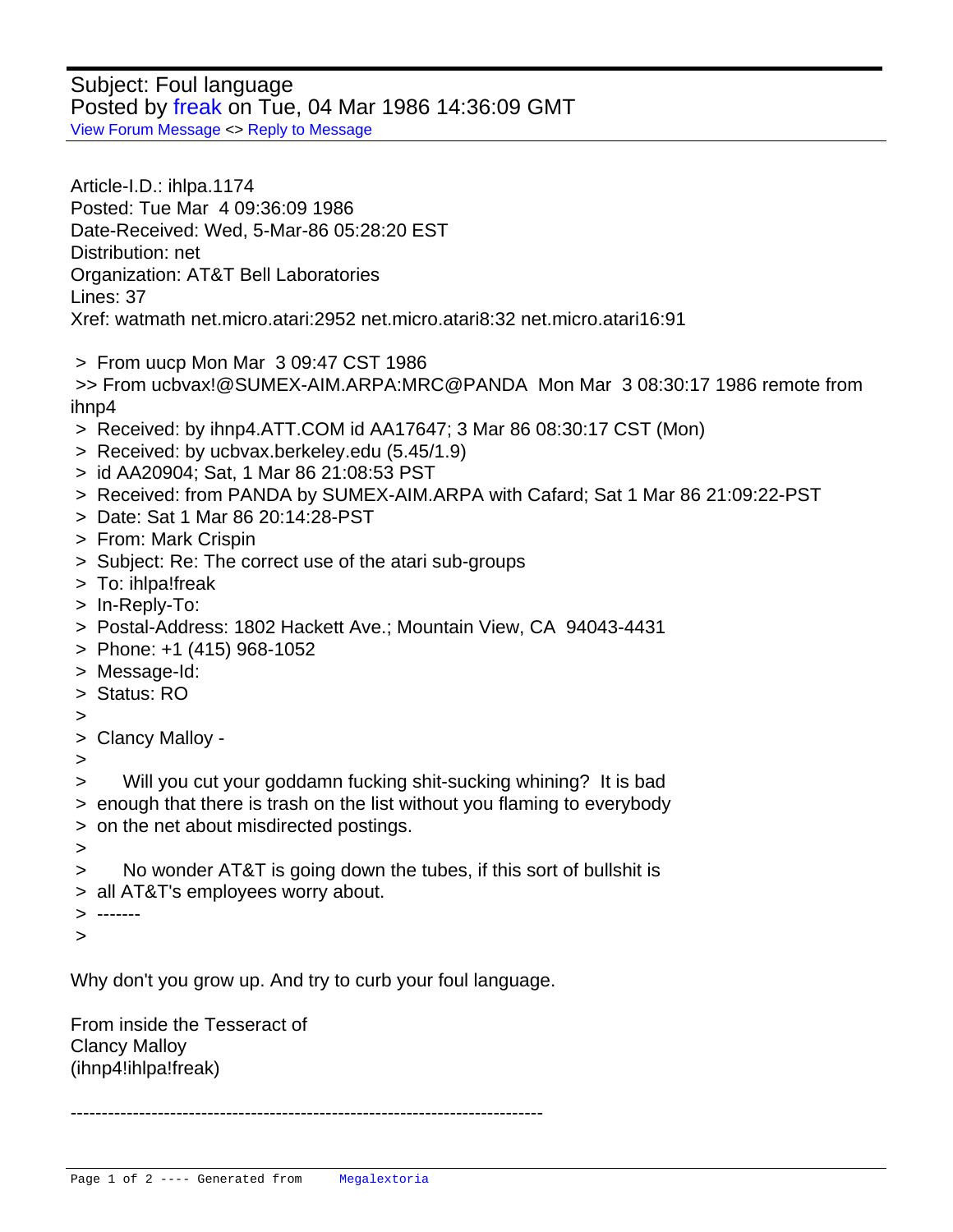Subject: Foul language Posted by [freak](http://www.megalextoria.com/forum2/index.php?t=usrinfo&id=3677) on Tue, 04 Mar 1986 14:36:09 GMT [View Forum Message](http://www.megalextoria.com/forum2/index.php?t=rview&th=85876&goto=280149#msg_280149) <> [Reply to Message](http://www.megalextoria.com/forum2/index.php?t=post&reply_to=280149)

Article-I.D.: ihlpa.1174 Posted: Tue Mar 4 09:36:09 1986 Date-Received: Wed, 5-Mar-86 05:28:20 EST Distribution: net Organization: AT&T Bell Laboratories Lines: 37 Xref: watmath net.micro.atari:2952 net.micro.atari8:32 net.micro.atari16:91

> From uucp Mon Mar 3 09:47 CST 1986

 >> From ucbvax!@SUMEX-AIM.ARPA:MRC@PANDA Mon Mar 3 08:30:17 1986 remote from ihnn4

- > Received: by ihnp4.ATT.COM id AA17647; 3 Mar 86 08:30:17 CST (Mon)
- > Received: by ucbvax.berkeley.edu (5.45/1.9)
- > id AA20904; Sat, 1 Mar 86 21:08:53 PST
- > Received: from PANDA by SUMEX-AIM.ARPA with Cafard; Sat 1 Mar 86 21:09:22-PST
- > Date: Sat 1 Mar 86 20:14:28-PST
- > From: Mark Crispin
- > Subject: Re: The correct use of the atari sub-groups
- > To: ihlpa!freak
- > In-Reply-To:
- > Postal-Address: 1802 Hackett Ave.; Mountain View, CA 94043-4431
- > Phone: +1 (415) 968-1052
- > Message-Id:
- > Status: RO
- >
- > Clancy Malloy -
- >
- > Will you cut your goddamn fucking shit-sucking whining? It is bad
- > enough that there is trash on the list without you flaming to everybody
- > on the net about misdirected postings.
- >
- > No wonder AT&T is going down the tubes, if this sort of bullshit is
- > all AT&T's employees worry about.

> -------

>

 Why don't you grow up. And try to curb your foul language.

From inside the Tesseract of Clancy Malloy (ihnp4!ihlpa!freak)

----------------------------------------------------------------------------